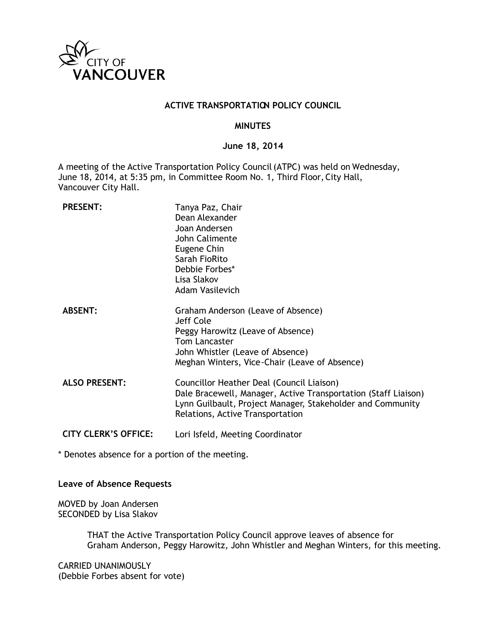

#### **ACTIVE TRANSPORTATION POLICY COUNCIL**

#### **MINUTES**

#### **June 18, 2014**

A meeting of the Active Transportation Policy Council (ATPC) was held on Wednesday, June 18, 2014, at 5:35 pm, in Committee Room No. 1, Third Floor, City Hall, Vancouver City Hall.

| <b>PRESENT:</b>             | Tanya Paz, Chair<br>Dean Alexander<br>Joan Andersen<br>John Calimente<br>Eugene Chin<br>Sarah FioRito<br>Debbie Forbes*<br>Lisa Slakov<br>Adam Vasilevich                                                     |
|-----------------------------|---------------------------------------------------------------------------------------------------------------------------------------------------------------------------------------------------------------|
| <b>ABSENT:</b>              | Graham Anderson (Leave of Absence)<br>Jeff Cole<br>Peggy Harowitz (Leave of Absence)<br><b>Tom Lancaster</b><br>John Whistler (Leave of Absence)<br>Meghan Winters, Vice-Chair (Leave of Absence)             |
| <b>ALSO PRESENT:</b>        | Councillor Heather Deal (Council Liaison)<br>Dale Bracewell, Manager, Active Transportation (Staff Liaison)<br>Lynn Guilbault, Project Manager, Stakeholder and Community<br>Relations, Active Transportation |
| <b>CITY CLERK'S OFFICE:</b> | Lori Isfeld, Meeting Coordinator                                                                                                                                                                              |

\* Denotes absence for a portion of the meeting.

#### **Leave of Absence Requests**

MOVED by Joan Andersen SECONDED by Lisa Slakov

> THAT the Active Transportation Policy Council approve leaves of absence for Graham Anderson, Peggy Harowitz, John Whistler and Meghan Winters, for this meeting.

CARRIED UNANIMOUSLY (Debbie Forbes absent for vote)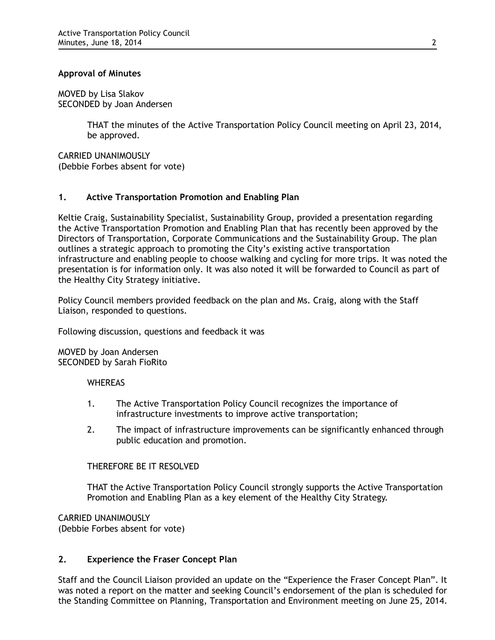# **Approval of Minutes**

MOVED by Lisa Slakov SECONDED by Joan Andersen

> THAT the minutes of the Active Transportation Policy Council meeting on April 23, 2014, be approved.

CARRIED UNANIMOUSLY (Debbie Forbes absent for vote)

# **1. Active Transportation Promotion and Enabling Plan**

Keltie Craig, Sustainability Specialist, Sustainability Group, provided a presentation regarding the Active Transportation Promotion and Enabling Plan that has recently been approved by the Directors of Transportation, Corporate Communications and the Sustainability Group. The plan outlines a strategic approach to promoting the City's existing active transportation infrastructure and enabling people to choose walking and cycling for more trips. It was noted the presentation is for information only. It was also noted it will be forwarded to Council as part of the Healthy City Strategy initiative.

Policy Council members provided feedback on the plan and Ms. Craig, along with the Staff Liaison, responded to questions.

Following discussion, questions and feedback it was

MOVED by Joan Andersen SECONDED by Sarah FioRito

#### **WHEREAS**

- 1. The Active Transportation Policy Council recognizes the importance of infrastructure investments to improve active transportation;
- 2. The impact of infrastructure improvements can be significantly enhanced through public education and promotion.

# THEREFORE BE IT RESOLVED

THAT the Active Transportation Policy Council strongly supports the Active Transportation Promotion and Enabling Plan as a key element of the Healthy City Strategy.

CARRIED UNANIMOUSLY (Debbie Forbes absent for vote)

# **2. Experience the Fraser Concept Plan**

Staff and the Council Liaison provided an update on the "Experience the Fraser Concept Plan". It was noted a report on the matter and seeking Council's endorsement of the plan is scheduled for the Standing Committee on Planning, Transportation and Environment meeting on June 25, 2014.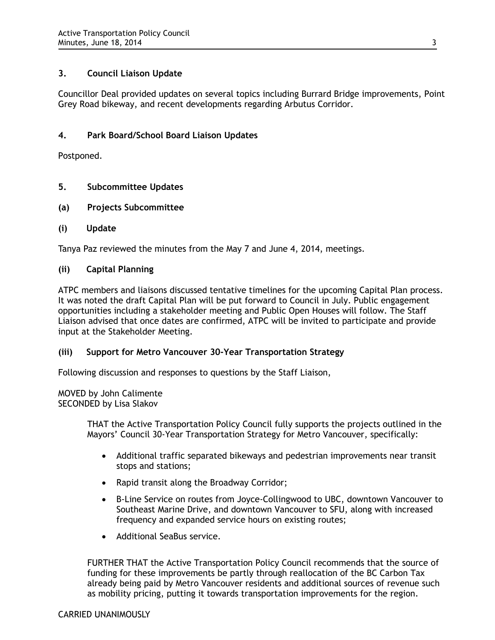# **3. Council Liaison Update**

Councillor Deal provided updates on several topics including Burrard Bridge improvements, Point Grey Road bikeway, and recent developments regarding Arbutus Corridor.

# **4. Park Board/School Board Liaison Updates**

Postponed.

- **5. Subcommittee Updates**
- **(a) Projects Subcommittee**
- **(i) Update**

Tanya Paz reviewed the minutes from the May 7 and June 4, 2014, meetings.

#### **(ii) Capital Planning**

ATPC members and liaisons discussed tentative timelines for the upcoming Capital Plan process. It was noted the draft Capital Plan will be put forward to Council in July. Public engagement opportunities including a stakeholder meeting and Public Open Houses will follow. The Staff Liaison advised that once dates are confirmed, ATPC will be invited to participate and provide input at the Stakeholder Meeting.

# **(iii) Support for Metro Vancouver 30-Year Transportation Strategy**

Following discussion and responses to questions by the Staff Liaison,

MOVED by John Calimente SECONDED by Lisa Slakov

> THAT the Active Transportation Policy Council fully supports the projects outlined in the Mayors' Council 30-Year Transportation Strategy for Metro Vancouver, specifically:

- Additional traffic separated bikeways and pedestrian improvements near transit stops and stations;
- Rapid transit along the Broadway Corridor;
- B-Line Service on routes from Joyce-Collingwood to UBC, downtown Vancouver to Southeast Marine Drive, and downtown Vancouver to SFU, along with increased frequency and expanded service hours on existing routes;
- Additional SeaBus service.

FURTHER THAT the Active Transportation Policy Council recommends that the source of funding for these improvements be partly through reallocation of the BC Carbon Tax already being paid by Metro Vancouver residents and additional sources of revenue such as mobility pricing, putting it towards transportation improvements for the region.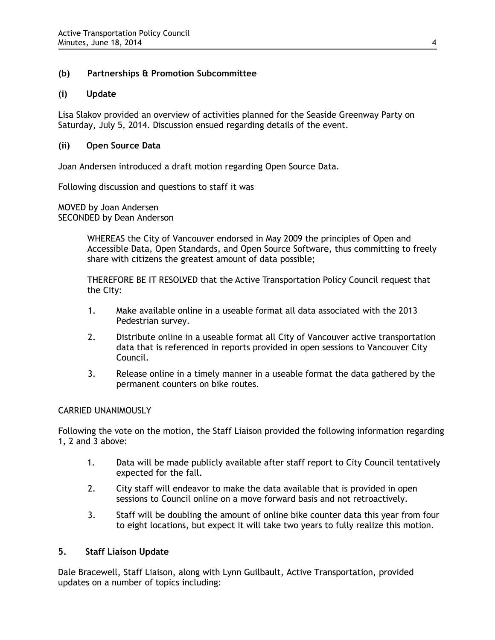# **(b) Partnerships & Promotion Subcommittee**

# **(i) Update**

Lisa Slakov provided an overview of activities planned for the Seaside Greenway Party on Saturday, July 5, 2014. Discussion ensued regarding details of the event.

# **(ii) Open Source Data**

Joan Andersen introduced a draft motion regarding Open Source Data.

Following discussion and questions to staff it was

MOVED by Joan Andersen SECONDED by Dean Anderson

> WHEREAS the City of Vancouver endorsed in May 2009 the principles of Open and Accessible Data, Open Standards, and Open Source Software, thus committing to freely share with citizens the greatest amount of data possible;

THEREFORE BE IT RESOLVED that the Active Transportation Policy Council request that the City:

- 1. Make available online in a useable format all data associated with the 2013 Pedestrian survey.
- 2. Distribute online in a useable format all City of Vancouver active transportation data that is referenced in reports provided in open sessions to Vancouver City Council.
- 3. Release online in a timely manner in a useable format the data gathered by the permanent counters on bike routes.

# CARRIED UNANIMOUSLY

Following the vote on the motion, the Staff Liaison provided the following information regarding 1, 2 and 3 above:

- 1. Data will be made publicly available after staff report to City Council tentatively expected for the fall.
- 2. City staff will endeavor to make the data available that is provided in open sessions to Council online on a move forward basis and not retroactively.
- 3. Staff will be doubling the amount of online bike counter data this year from four to eight locations, but expect it will take two years to fully realize this motion.

# **5. Staff Liaison Update**

Dale Bracewell, Staff Liaison, along with Lynn Guilbault, Active Transportation, provided updates on a number of topics including: